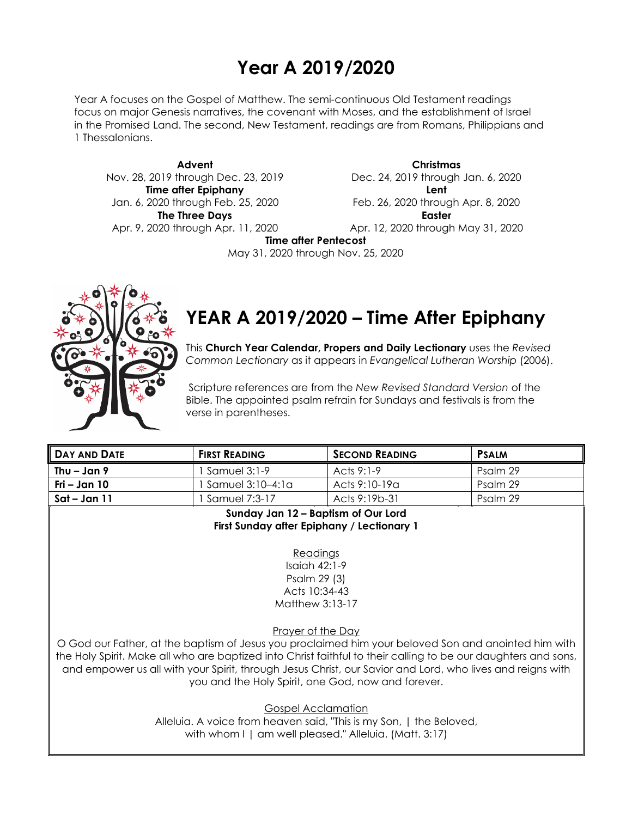## **Year A 2019/2020**

Year A focuses on the Gospel of Matthew. The semi-continuous Old Testament readings focus on major Genesis narratives, the covenant with Moses, and the establishment of Israel in the Promised Land. The second, New Testament, readings are from Romans, Philippians and 1 Thessalonians.

**Advent** Nov. 28, 2019 through Dec. 23, 2019 **Time after Epiphany** Jan. 6, 2020 through Feb. 25, 2020 **The Three Days** Apr. 9, 2020 through Apr. 11, 2020

**Christmas** Dec. 24, 2019 through Jan. 6, 2020 **Lent** Feb. 26, 2020 through Apr. 8, 2020 **Easter** Apr. 12, 2020 through May 31, 2020

**Time after Pentecost**

May 31, 2020 through Nov. 25, 2020



# **YEAR A 2019/2020 – Time After Epiphany**

This **Church Year Calendar, Propers and Daily Lectionary** uses the *Revised Common Lectionary* as it appears in *Evangelical Lutheran Worship* (2006).

Scripture references are from the *New Revised Standard Version* of the Bible. The appointed psalm refrain for Sundays and festivals is from the verse in parentheses.

| <b>DAY AND DATE</b> | <b>FIRST READING</b> | <b>SECOND READING</b> | <b>PSALM</b> |
|---------------------|----------------------|-----------------------|--------------|
| Thu – Jan 9         | 1 Samuel 3:1-9       | Acts 9:1-9            | Psalm 29     |
| Fri – Jan 10        | 1 Samuel 3:10–4:1a   | Acts 9:10-19a         | Psalm 29     |
| Sat – Jan 11        | Samuel 7:3-17        | Acts 9:19b-31         | Psalm 29     |
| .<br>.              |                      |                       |              |

**Sunday Jan 12 – Baptism of Our Lord First Sunday after Epiphany / Lectionary 1**

> Readings Isaiah 42:1-9 Psalm 29 (3) Acts 10:34-43 Matthew 3:13-17

Prayer of the Day

O God our Father, at the baptism of Jesus you proclaimed him your beloved Son and anointed him with the Holy Spirit. Make all who are baptized into Christ faithful to their calling to be our daughters and sons, and empower us all with your Spirit, through Jesus Christ, our Savior and Lord, who lives and reigns with you and the Holy Spirit, one God, now and forever.

Gospel Acclamation

Alleluia. A voice from heaven said, "This is my Son, | the Beloved, with whom I | am well pleased." Alleluia. (Matt. 3:17)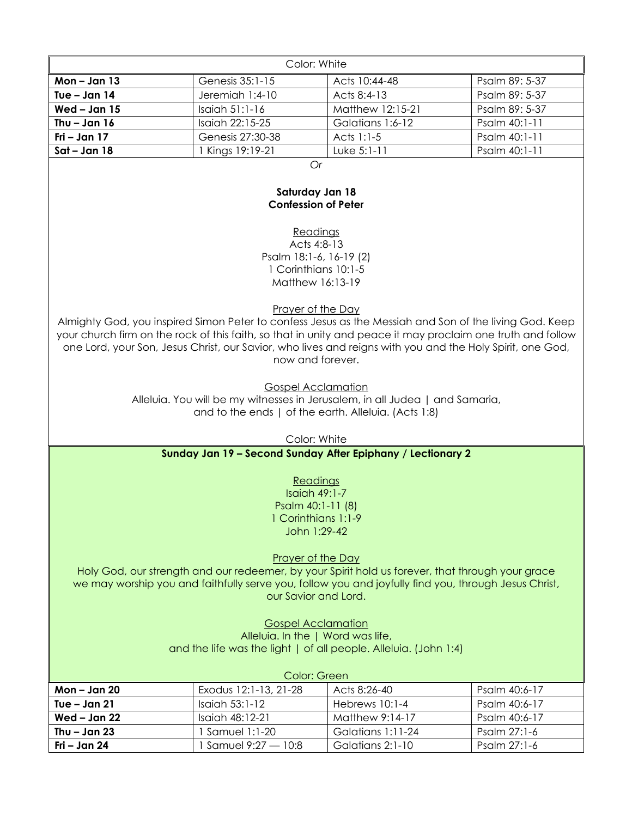| Color: White   |                   |                  |                |
|----------------|-------------------|------------------|----------------|
| $Mon - Jan 13$ | Genesis 35:1-15   | Acts 10:44-48    | Psalm 89: 5-37 |
| Tue – Jan $14$ | Jeremiah 1:4-10   | Acts $8:4-13$    | Psalm 89: 5-37 |
| Wed $-$ Jan 15 | Isaiah 51:1-16    | Matthew 12:15-21 | Psalm 89: 5-37 |
| Thu $-$ Jan 16 | $Isqich 22:15-25$ | Galatians 1:6-12 | Psalm 40:1-11  |
| Fri – Jan $17$ | Genesis 27:30-38  | Acts 1:1-5       | Psalm 40:1-11  |
| $Sat - Jan 18$ | Kings 19:19-21    | Luke $5:1-11$    | Psalm 40:1-11  |

*Or*

### **Saturday Jan 18 Confession of Peter**

**Readings** Acts 4:8-13 Psalm 18:1-6, 16-19 (2) 1 Corinthians 10:1-5 Matthew 16:13-19

Prayer of the Day

Almighty God, you inspired Simon Peter to confess Jesus as the Messiah and Son of the living God. Keep your church firm on the rock of this faith, so that in unity and peace it may proclaim one truth and follow one Lord, your Son, Jesus Christ, our Savior, who lives and reigns with you and the Holy Spirit, one God, now and forever.

Gospel Acclamation

Alleluia. You will be my witnesses in Jerusalem, in all Judea | and Samaria, and to the ends | of the earth. Alleluia. (Acts 1:8)

Color: White

#### **Sunday Jan 19 – Second Sunday After Epiphany / Lectionary 2**

Readings

Isaiah 49:1-7 Psalm 40:1-11 (8) 1 Corinthians 1:1-9 John 1:29-42

Prayer of the Day

Holy God, our strength and our redeemer, by your Spirit hold us forever, that through your grace we may worship you and faithfully serve you, follow you and joyfully find you, through Jesus Christ, our Savior and Lord.

> Gospel Acclamation Alleluia. In the | Word was life, and the life was the light | of all people. Alleluia. (John 1:4)

| Color: Green   |                       |                   |               |
|----------------|-----------------------|-------------------|---------------|
| Mon $-$ Jan 20 | Exodus 12:1-13, 21-28 | Acts 8:26-40      | Psalm 40:6-17 |
| Tue – Jan $21$ | Isaiah $53:1-12$      | Hebrews $10:1-4$  | Psalm 40:6-17 |
| Wed – Jan $22$ | Isaiah 48:12-21       | Matthew 9:14-17   | Psalm 40:6-17 |
| Thu – Jan $23$ | Samuel 1:1-20         | Galatians 1:11-24 | Psalm 27:1-6  |
| Fri – Jan 24   | Samuel 9:27 — 10:8    | Galatians 2:1-10  | Psalm 27:1-6  |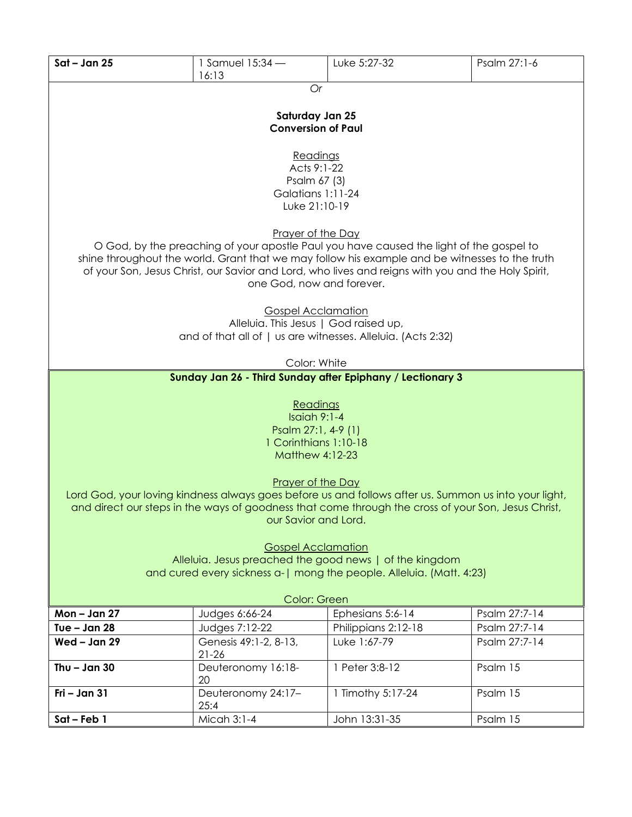| $Sat - Jan 25$                                                                                                                                                                                                                                                                                                                                                                                                             | 1 Samuel 15:34 -<br>16:13                                                                                                          | Luke 5:27-32                                               | Psalm 27:1-6  |  |
|----------------------------------------------------------------------------------------------------------------------------------------------------------------------------------------------------------------------------------------------------------------------------------------------------------------------------------------------------------------------------------------------------------------------------|------------------------------------------------------------------------------------------------------------------------------------|------------------------------------------------------------|---------------|--|
|                                                                                                                                                                                                                                                                                                                                                                                                                            | Or                                                                                                                                 |                                                            |               |  |
| Saturday Jan 25<br><b>Conversion of Paul</b>                                                                                                                                                                                                                                                                                                                                                                               |                                                                                                                                    |                                                            |               |  |
| Readings<br>Acts 9:1-22<br>Psalm 67 (3)<br>Galatians 1:11-24<br>Luke 21:10-19                                                                                                                                                                                                                                                                                                                                              |                                                                                                                                    |                                                            |               |  |
| Prayer of the Day<br>O God, by the preaching of your apostle Paul you have caused the light of the gospel to<br>shine throughout the world. Grant that we may follow his example and be witnesses to the truth<br>of your Son, Jesus Christ, our Savior and Lord, who lives and reigns with you and the Holy Spirit,<br>one God, now and forever.                                                                          |                                                                                                                                    |                                                            |               |  |
|                                                                                                                                                                                                                                                                                                                                                                                                                            | <b>Gospel Acclamation</b><br>Alleluia. This Jesus   God raised up,<br>and of that all of   us are witnesses. Alleluia. (Acts 2:32) |                                                            |               |  |
|                                                                                                                                                                                                                                                                                                                                                                                                                            | Color: White                                                                                                                       |                                                            |               |  |
|                                                                                                                                                                                                                                                                                                                                                                                                                            |                                                                                                                                    | Sunday Jan 26 - Third Sunday after Epiphany / Lectionary 3 |               |  |
| Readings<br>Isaiah $9:1-4$<br>Psalm 27:1, 4-9 (1)<br>1 Corinthians 1:10-18<br><b>Matthew 4:12-23</b>                                                                                                                                                                                                                                                                                                                       |                                                                                                                                    |                                                            |               |  |
| Prayer of the Day<br>Lord God, your loving kindness always goes before us and follows after us. Summon us into your light,<br>and direct our steps in the ways of goodness that come through the cross of your Son, Jesus Christ,<br>our Savior and Lord.<br><b>Gospel Acclamation</b><br>Alleluia. Jesus preached the good news   of the kingdom<br>and cured every sickness a-   mong the people. Alleluia. (Matt. 4:23) |                                                                                                                                    |                                                            |               |  |
| Color: Green                                                                                                                                                                                                                                                                                                                                                                                                               |                                                                                                                                    |                                                            |               |  |
| $Mon - Jan 27$                                                                                                                                                                                                                                                                                                                                                                                                             | Judges 6:66-24                                                                                                                     | Ephesians 5:6-14                                           | Psalm 27:7-14 |  |
| Tue $-$ Jan 28                                                                                                                                                                                                                                                                                                                                                                                                             | Judges 7:12-22                                                                                                                     | Philippians 2:12-18                                        | Psalm 27:7-14 |  |
| Wed - Jan 29                                                                                                                                                                                                                                                                                                                                                                                                               | Genesis 49:1-2, 8-13,<br>$21 - 26$                                                                                                 | Luke 1:67-79                                               | Psalm 27:7-14 |  |
| Thu $-$ Jan 30                                                                                                                                                                                                                                                                                                                                                                                                             | Deuteronomy 16:18-<br>20                                                                                                           | 1 Peter 3:8-12                                             | Psalm 15      |  |
| Fri - Jan 31                                                                                                                                                                                                                                                                                                                                                                                                               | Deuteronomy 24:17-<br>25:4                                                                                                         | 1 Timothy 5:17-24                                          | Psalm 15      |  |
| Sat-Feb 1                                                                                                                                                                                                                                                                                                                                                                                                                  | Micah 3:1-4                                                                                                                        | John 13:31-35                                              | Psalm 15      |  |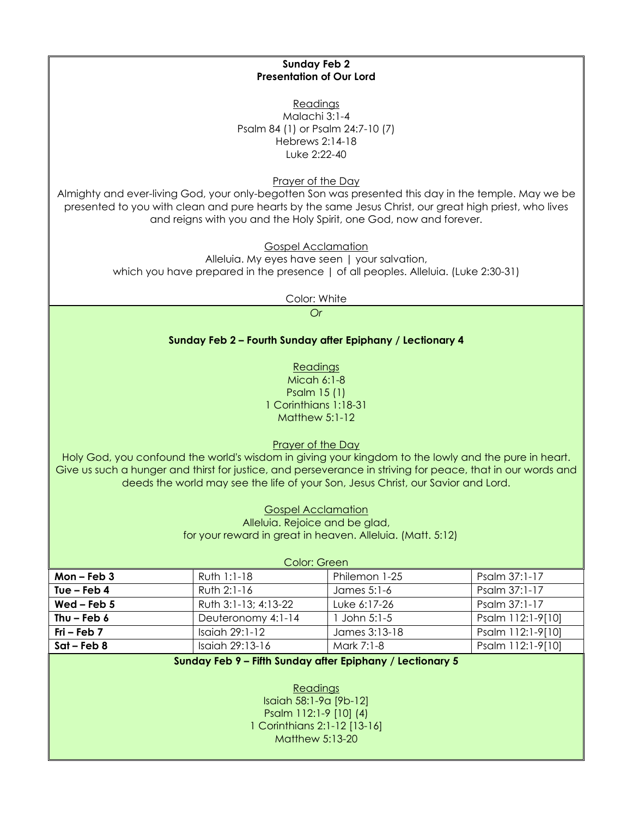Readings Malachi 3:1-4 Psalm 84 (1) or Psalm 24:7-10 (7) Hebrews 2:14-18 Luke 2:22-40 Prayer of the Day

**Sunday Feb 2 Presentation of Our Lord**

Almighty and ever-living God, your only-begotten Son was presented this day in the temple. May we be presented to you with clean and pure hearts by the same Jesus Christ, our great high priest, who lives and reigns with you and the Holy Spirit, one God, now and forever.

> Gospel Acclamation Alleluia. My eyes have seen | your salvation, which you have prepared in the presence | of all peoples. Alleluia. (Luke 2:30-31)

> > Color: White

*Or*

#### **Sunday Feb 2 – Fourth Sunday after Epiphany / Lectionary 4**

Readings Micah 6:1-8 Psalm 15 (1) 1 Corinthians 1:18-31 Matthew 5:1-12

#### Prayer of the Day

Holy God, you confound the world's wisdom in giving your kingdom to the lowly and the pure in heart. Give us such a hunger and thirst for justice, and perseverance in striving for peace, that in our words and deeds the world may see the life of your Son, Jesus Christ, our Savior and Lord.

> Gospel Acclamation Alleluia. Rejoice and be glad, for your reward in great in heaven. Alleluia. (Matt. 5:12)

| Color: Green    |                      |               |                   |
|-----------------|----------------------|---------------|-------------------|
| Mon $-$ Feb $3$ | Ruth 1:1-18          | Philemon 1-25 | Psalm 37:1-17     |
| Tue – Feb $4$   | Ruth 2:1-16          | James 5:1-6   | Psalm 37:1-17     |
| Wed – Feb $5$   | Ruth 3:1-13; 4:13-22 | Luke 6:17-26  | Psalm 37:1-17     |
| Thu – Feb $6$   | Deuteronomy 4:1-14   | John $5:1-5$  | Psalm 112:1-9[10] |
| $Fri - Feb 7$   | Isaiah 29:1-12       | James 3:13-18 | Psalm 112:1-9[10] |
| $Sat$ – Feb 8   | Isaiah 29:13-16      | Mark 7:1-8    | Psalm 112:1-9[10] |

#### **Sunday Feb 9 – Fifth Sunday after Epiphany / Lectionary 5**

Readings Isaiah 58:1-9a [9b-12] Psalm 112:1-9 [10] (4) 1 Corinthians 2:1-12 [13-16] Matthew 5:13-20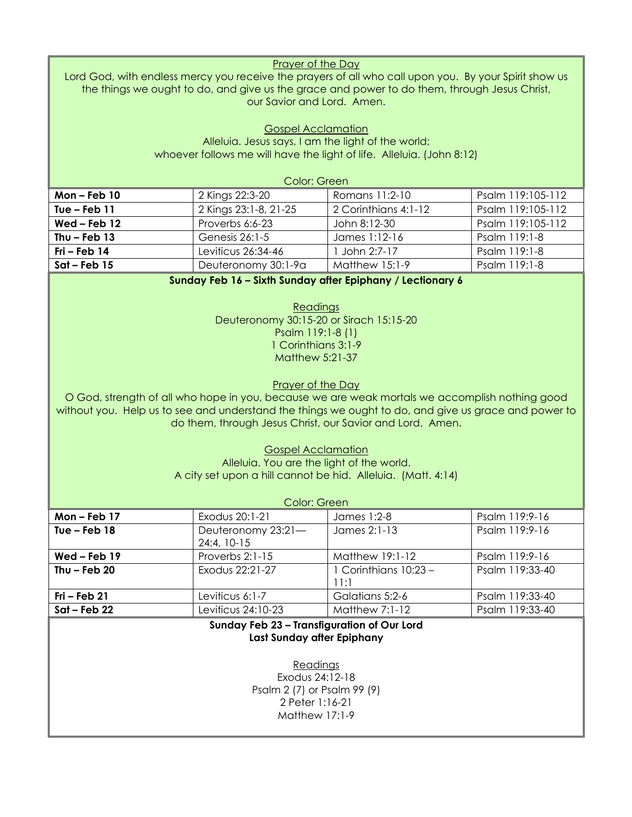| <b>Prayer of the Day</b><br>Lord God, with endless mercy you receive the prayers of all who call upon you. By your Spirit show us<br>the things we ought to do, and give us the grace and power to do them, through Jesus Christ,<br>our Savior and Lord. Amen.                                                                                                                                                                                                                                                                                                     |                                                                                 |                                                                       |                   |  |
|---------------------------------------------------------------------------------------------------------------------------------------------------------------------------------------------------------------------------------------------------------------------------------------------------------------------------------------------------------------------------------------------------------------------------------------------------------------------------------------------------------------------------------------------------------------------|---------------------------------------------------------------------------------|-----------------------------------------------------------------------|-------------------|--|
|                                                                                                                                                                                                                                                                                                                                                                                                                                                                                                                                                                     | <b>Gospel Acclamation</b><br>Alleluia. Jesus says, I am the light of the world; | whoever follows me will have the light of life. Alleluia. (John 8:12) |                   |  |
|                                                                                                                                                                                                                                                                                                                                                                                                                                                                                                                                                                     | Color: Green                                                                    |                                                                       |                   |  |
| Mon-Feb 10                                                                                                                                                                                                                                                                                                                                                                                                                                                                                                                                                          | 2 Kings 22:3-20                                                                 | Romans 11:2-10                                                        | Psalm 119:105-112 |  |
| Tue $-$ Feb 11                                                                                                                                                                                                                                                                                                                                                                                                                                                                                                                                                      | 2 Kings 23:1-8, 21-25                                                           | 2 Corinthians 4:1-12                                                  | Psalm 119:105-112 |  |
| $Wed$ – Feb 12                                                                                                                                                                                                                                                                                                                                                                                                                                                                                                                                                      | Proverbs 6:6-23                                                                 | John 8:12-30                                                          | Psalm 119:105-112 |  |
| Thu $-$ Feb 13                                                                                                                                                                                                                                                                                                                                                                                                                                                                                                                                                      | Genesis 26:1-5                                                                  | James 1:12-16                                                         | Psalm 119:1-8     |  |
| Fri - Feb 14                                                                                                                                                                                                                                                                                                                                                                                                                                                                                                                                                        | Leviticus 26:34-46                                                              | 1 John 2:7-17                                                         | Psalm 119:1-8     |  |
| $Sat - Feb$ 15                                                                                                                                                                                                                                                                                                                                                                                                                                                                                                                                                      | Deuteronomy 30:1-9a                                                             | <b>Matthew 15:1-9</b>                                                 | Psalm 119:1-8     |  |
| Deuteronomy 30:15-20 or Sirach 15:15-20<br>Psalm 119:1-8 (1)<br>1 Corinthians 3:1-9<br><b>Matthew 5:21-37</b><br>Prayer of the Day<br>O God, strength of all who hope in you, because we are weak mortals we accomplish nothing good<br>without you. Help us to see and understand the things we ought to do, and give us grace and power to<br>do them, through Jesus Christ, our Savior and Lord. Amen.<br><b>Gospel Acclamation</b><br>Alleluia. You are the light of the world.<br>A city set upon a hill cannot be hid. Alleluia. (Matt. 4:14)<br>Color: Green |                                                                                 |                                                                       |                   |  |
| Mon-Feb 17                                                                                                                                                                                                                                                                                                                                                                                                                                                                                                                                                          | Exodus 20:1-21                                                                  | James 1:2-8                                                           | Psalm 119:9-16    |  |
| Tue $-$ Feb 18                                                                                                                                                                                                                                                                                                                                                                                                                                                                                                                                                      | Deuteronomy 23:21-<br>24:4, 10-15                                               | James 2:1-13                                                          | Psalm 119:9-16    |  |
| Wed-Feb 19                                                                                                                                                                                                                                                                                                                                                                                                                                                                                                                                                          | Proverbs 2:1-15                                                                 | Matthew 19:1-12                                                       | Psalm 119:9-16    |  |
| Thu $-$ Feb 20                                                                                                                                                                                                                                                                                                                                                                                                                                                                                                                                                      | Exodus 22:21-27                                                                 | 1 Corinthians 10:23 -<br>11:1                                         | Psalm 119:33-40   |  |
| Fri - Feb 21                                                                                                                                                                                                                                                                                                                                                                                                                                                                                                                                                        | Leviticus 6:1-7                                                                 | Galatians 5:2-6                                                       | Psalm 119:33-40   |  |
| $Sat - Feb 22$                                                                                                                                                                                                                                                                                                                                                                                                                                                                                                                                                      | Leviticus 24:10-23                                                              | <b>Matthew 7:1-12</b>                                                 | Psalm 119:33-40   |  |
| Sunday Feb 23 - Transfiguration of Our Lord<br>Last Sunday after Epiphany<br>Readings<br>Exodus 24:12-18<br>Psalm 2 (7) or Psalm 99 (9)<br>2 Peter 1:16-21<br>Matthew 17:1-9                                                                                                                                                                                                                                                                                                                                                                                        |                                                                                 |                                                                       |                   |  |